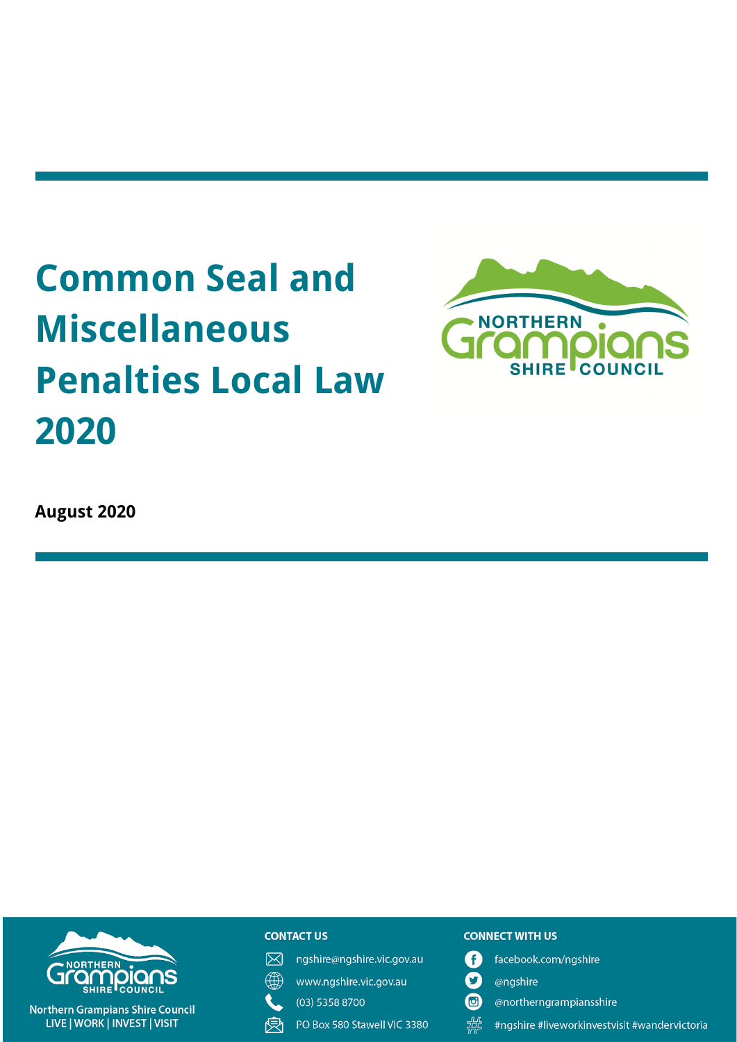# **Common Seal and Miscellaneous Penalties Local Law** 2020



**August 2020** 



**Northern Grampians Shire Council** LIVE | WORK | INVEST | VISIT

#### **CONTACT US**

冈 ngshire@ngshire.vic.gov.au

∰

- www.ngshire.vic.gov.au (03) 5358 8700
- PO Box 580 Stawell VIC 3380 受

#### **CONNECT WITH US**

- A facebook.com/ngshire
- $\boldsymbol{\Omega}$ @ngshire
- $\bf \bm \omega$ @northerngrampiansshire
- 堤 #ngshire #liveworkinvestvisit #wandervictoria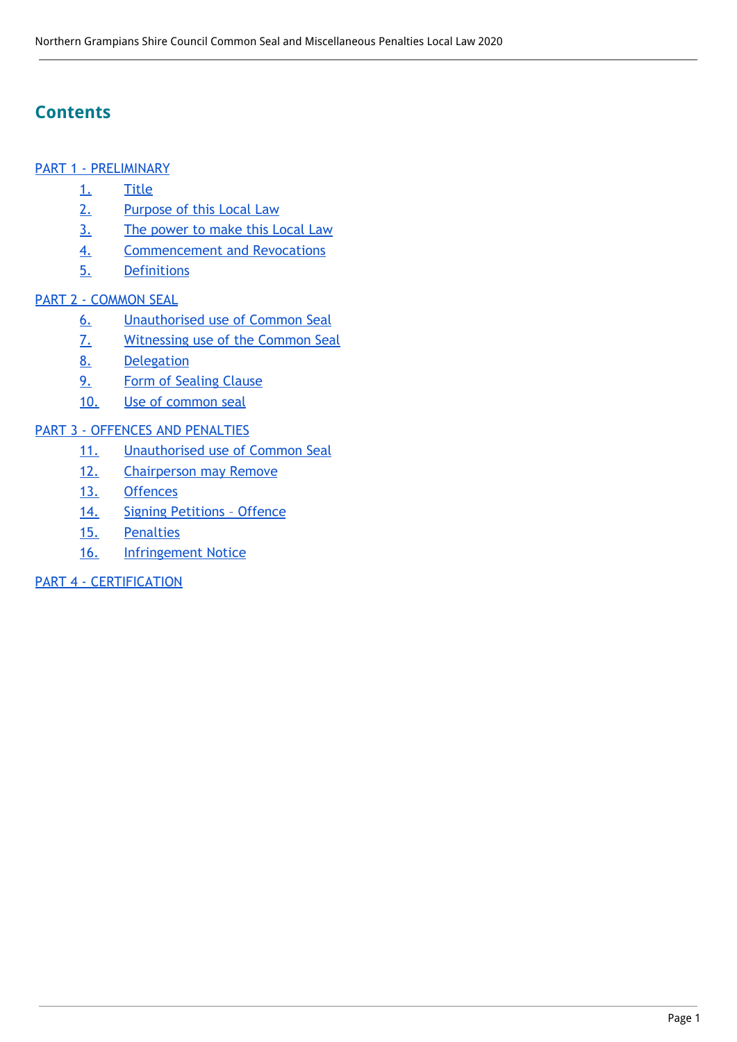# **Contents**

#### PART 1 - [PRELIMINARY](#page-2-0)

- [1.](#page-2-1) [Title](#page-2-1)
- [2.](#page-2-2) [Purpose](#page-2-2) of this Local Law
- [3.](#page-2-3) The [power](#page-2-3) to make this Local Law
- [4.](#page-2-4) [Commencement](#page-2-4) and Revocations
- [5.](#page-2-5) [Definitions](#page-2-5)

## PART 2 - [COMMON](#page-3-0) SEAL

- [6.](#page-3-1) [Unauthorised](#page-3-1) use of Common Seal
- [7.](#page-3-2) [Witnessing](#page-3-2) use of the Common Seal
- [8.](#page-3-3) [Delegation](#page-3-3)
- [9.](#page-3-4) Form of [Sealing](#page-3-4) Clause
- [10.](#page-3-5) Use of [common](#page-3-5) seal

## PART 3 - OFFENCES AND [PENALTIES](#page-4-0)

- [11.](#page-4-1) [Unauthorised](#page-4-1) use of Common Seal
- [12.](#page-4-2) [Chairperson](#page-4-2) may Remove
- [13.](#page-4-3) [Offences](#page-4-3)
- [14.](#page-5-0) Signing [Petitions](#page-5-0) Offence
- [15.](#page-5-1) [Penalties](#page-5-1)
- [16.](#page-5-2) **[Infringement](#page-5-2) Notice**

#### PART 4 - [CERTIFICATION](#page-5-3)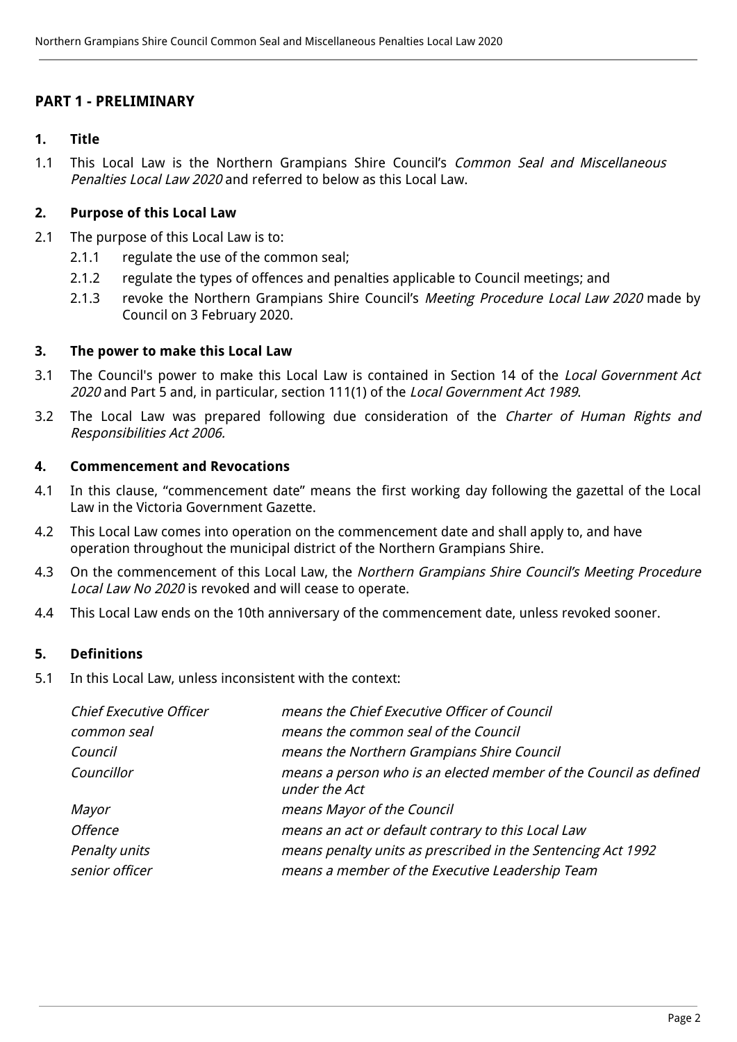## <span id="page-2-0"></span>**PART 1 - PRELIMINARY**

#### <span id="page-2-1"></span>**1. Title**

1.1 This Local Law is the Northern Grampians Shire Council's Common Seal and Miscellaneous Penalties Local Law 2020 and referred to below as this Local Law.

#### <span id="page-2-2"></span>**2. Purpose of this Local Law**

- 2.1 The purpose of this Local Law is to:
	- 2.1.1 regulate the use of the common seal;
	- 2.1.2 regulate the types of offences and penalties applicable to Council meetings; and
	- 2.1.3 revoke the Northern Grampians Shire Council's Meeting Procedure Local Law 2020 made by Council on 3 February 2020.

#### <span id="page-2-3"></span>**3. The power to make this Local Law**

- 3.1 The Council's power to make this Local Law is contained in Section 14 of the Local Government Act 2020 and Part 5 and, in particular, section 111(1) of the Local Government Act 1989.
- 3.2 The Local Law was prepared following due consideration of the Charter of Human Rights and Responsibilities Act 2006.

#### <span id="page-2-4"></span>**4. Commencement and Revocations**

- 4.1 In this clause, "commencement date" means the first working day following the gazettal of the Local Law in the Victoria Government Gazette.
- 4.2 This Local Law comes into operation on the commencement date and shall apply to, and have operation throughout the municipal district of the Northern Grampians Shire.
- 4.3 On the commencement of this Local Law, the Northern Grampians Shire Council's Meeting Procedure Local Law No 2020 is revoked and will cease to operate.
- 4.4 This Local Law ends on the 10th anniversary of the commencement date, unless revoked sooner.

#### <span id="page-2-5"></span>**5. Definitions**

5.1 In this Local Law, unless inconsistent with the context:

| <b>Chief Executive Officer</b> | means the Chief Executive Officer of Council                                       |  |  |
|--------------------------------|------------------------------------------------------------------------------------|--|--|
| common seal                    | means the common seal of the Council                                               |  |  |
| Council                        | means the Northern Grampians Shire Council                                         |  |  |
| Councillor                     | means a person who is an elected member of the Council as defined<br>under the Act |  |  |
| Mayor                          | means Mayor of the Council                                                         |  |  |
| <b>Offence</b>                 | means an act or default contrary to this Local Law                                 |  |  |
| Penalty units                  | means penalty units as prescribed in the Sentencing Act 1992                       |  |  |
| senior officer                 | means a member of the Executive Leadership Team                                    |  |  |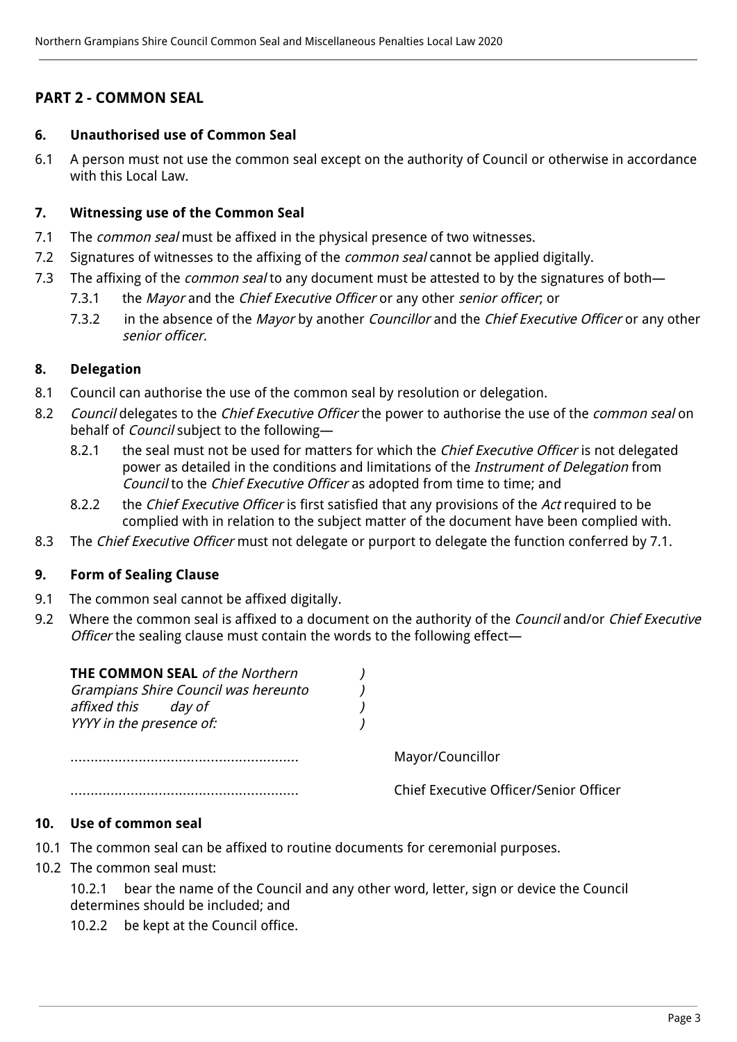## <span id="page-3-0"></span>**PART 2 - COMMON SEAL**

#### <span id="page-3-1"></span>**6. Unauthorised use of Common Seal**

6.1 A person must not use the common seal except on the authority of Council or otherwise in accordance with this Local Law.

#### <span id="page-3-2"></span>**7. Witnessing use of the Common Seal**

- 7.1 The *common seal* must be affixed in the physical presence of two witnesses.
- 7.2 Signatures of witnesses to the affixing of the *common seal* cannot be applied digitally.
- 7.3 The affixing of the *common seal* to any document must be attested to by the signatures of both-
	- 7.3.1 the Mayor and the Chief Executive Officer or any other senior officer, or
	- 7.3.2 in the absence of the Mayor by another Councillor and the Chief Executive Officer or any other senior officer.

#### <span id="page-3-3"></span>**8. Delegation**

- 8.1 Council can authorise the use of the common seal by resolution or delegation.
- 8.2 Council delegates to the Chief Executive Officer the power to authorise the use of the common seal on behalf of Council subject to the following—
	- 8.2.1 the seal must not be used for matters for which the *Chief Executive Officer* is not delegated power as detailed in the conditions and limitations of the *Instrument of Delegation* from Council to the Chief Executive Officer as adopted from time to time; and
	- 8.2.2 the Chief Executive Officer is first satisfied that any provisions of the Act required to be complied with in relation to the subject matter of the document have been complied with.
- 8.3 The Chief Executive Officer must not delegate or purport to delegate the function conferred by 7.1.

#### <span id="page-3-4"></span>**9. Form of Sealing Clause**

- 9.1 The common seal cannot be affixed digitally.
- 9.2 Where the common seal is affixed to a document on the authority of the Council and/or Chief Executive Officer the sealing clause must contain the words to the following effect—

| THE COMMON SEAL of the Northern      |  |                                        |
|--------------------------------------|--|----------------------------------------|
| Grampians Shire Council was hereunto |  |                                        |
| affixed this<br>day of               |  |                                        |
| YYYY in the presence of:             |  |                                        |
|                                      |  | Mayor/Councillor                       |
|                                      |  | Chief Executive Officer/Senior Officer |

## <span id="page-3-5"></span>**10. Use of common seal**

- 10.1 The common seal can be affixed to routine documents for ceremonial purposes.
- 10.2 The common seal must:

10.2.1 bear the name of the Council and any other word, letter, sign or device the Council determines should be included; and

10.2.2 be kept at the Council office.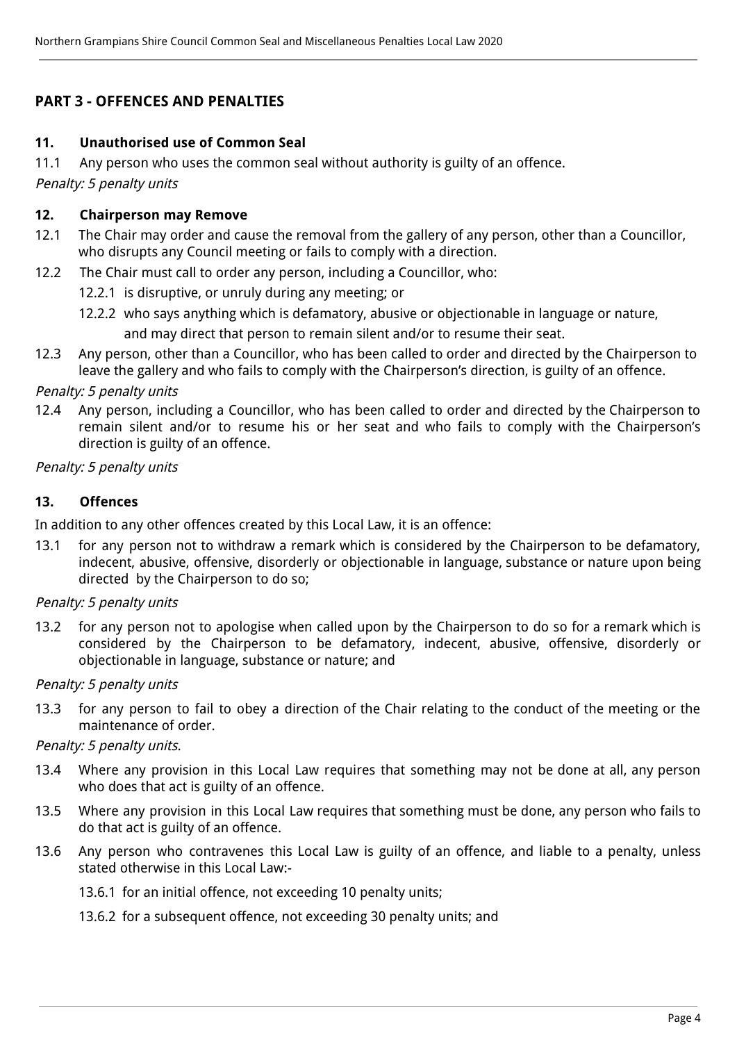## <span id="page-4-0"></span>**PART 3 - OFFENCES AND PENALTIES**

#### <span id="page-4-1"></span>**11. Unauthorised use of Common Seal**

11.1 Any person who uses the common seal without authority is guilty of an offence.

Penalty: 5 penalty units

#### <span id="page-4-2"></span>**12. Chairperson may Remove**

- 12.1 The Chair may order and cause the removal from the gallery of any person, other than a Councillor, who disrupts any Council meeting or fails to comply with a direction.
- 12.2 The Chair must call to order any person, including a Councillor, who:
	- 12.2.1 is disruptive, or unruly during any meeting; or
	- 12.2.2 who says anything which is defamatory, abusive or objectionable in language or nature, and may direct that person to remain silent and/or to resume their seat.
- 12.3 Any person, other than a Councillor, who has been called to order and directed by the Chairperson to leave the gallery and who fails to comply with the Chairperson's direction, is guilty of an offence.

#### Penalty: 5 penalty units

12.4 Any person, including a Councillor, who has been called to order and directed by the Chairperson to remain silent and/or to resume his or her seat and who fails to comply with the Chairperson's direction is guilty of an offence.

#### <span id="page-4-3"></span>Penalty: 5 penalty units

#### **13. Offences**

In addition to any other offences created by this Local Law, it is an offence:

13.1 for any person not to withdraw a remark which is considered by the Chairperson to be defamatory, indecent, abusive, offensive, disorderly or objectionable in language, substance or nature upon being directed by the Chairperson to do so;

#### Penalty: 5 penalty units

13.2 for any person not to apologise when called upon by the Chairperson to do so for a remark which is considered by the Chairperson to be defamatory, indecent, abusive, offensive, disorderly or objectionable in language, substance or nature; and

#### Penalty: 5 penalty units

13.3 for any person to fail to obey a direction of the Chair relating to the conduct of the meeting or the maintenance of order.

#### Penalty: 5 penalty units.

- 13.4 Where any provision in this Local Law requires that something may not be done at all, any person who does that act is guilty of an offence.
- 13.5 Where any provision in this Local Law requires that something must be done, any person who fails to do that act is guilty of an offence.
- 13.6 Any person who contravenes this Local Law is guilty of an offence, and liable to a penalty, unless stated otherwise in this Local Law:-

13.6.1 for an initial offence, not exceeding 10 penalty units;

13.6.2 for a subsequent offence, not exceeding 30 penalty units; and